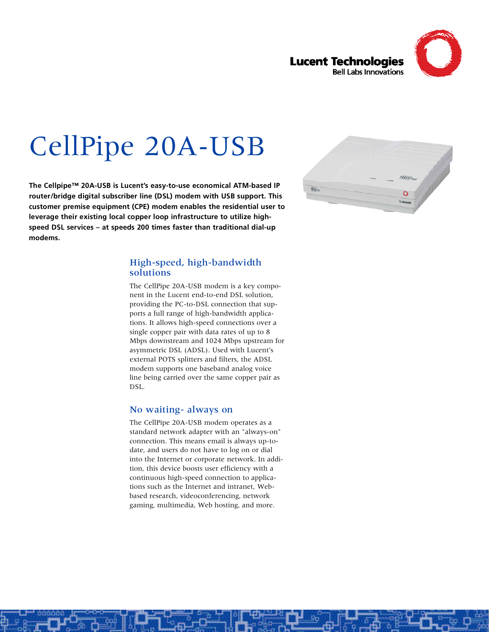

# CellPipe 20A-USB

**The Cellpipe™ 20A-USB is Lucent's easy-to-use economical ATM-based IP router/bridge digital subscriber line (DSL) modem with USB support. This customer premise equipment (CPE) modem enables the residential user to leverage their existing local copper loop infrastructure to utilize highspeed DSL services – at speeds 200 times faster than traditional dial-up** modems.



## High-speed, high-bandwidth solutions

The CellPipe 20A-USB modem is a key component in the Lucent end-to-end DSL solution, providing the PC-to-DSL connection that supports a full range of high-bandwidth applications. It allows high-speed connections over a single copper pair with data rates of up to 8 Mbps downstream and 1024 Mbps upstream for asymmetric DSL (ADSL). Used with Lucent's external POTS splitters and filters, the ADSL modem supports one baseband analog voice line being carried over the same copper pair as DSL.

## No waiting- always on

The CellPipe 20A-USB modem operates as a standard network adapter with an "always-on" connection. This means email is always up-todate, and users do not have to log on or dial into the Internet or corporate network. In addition, this device boosts user efficiency with a continuous high-speed connection to applications such as the Internet and intranet, Webbased research, videoconferencing, network gaming, multimedia, Web hosting, and more.